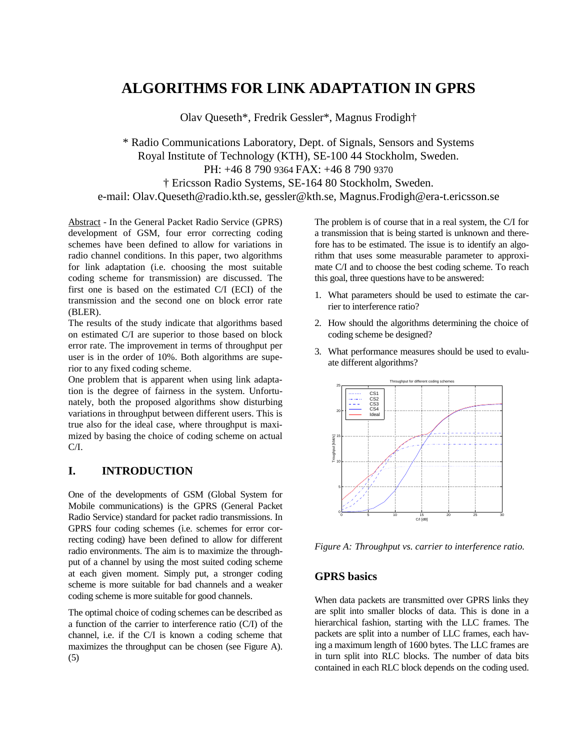# **ALGORITHMS FOR LINK ADAPTATION IN GPRS**

Olav Queseth\*, Fredrik Gessler\*, Magnus Frodigh†

\* Radio Communications Laboratory, Dept. of Signals, Sensors and Systems Royal Institute of Technology (KTH), SE-100 44 Stockholm, Sweden. PH: +46 8 790 9364 FAX: +46 8 790 9370 † Ericsson Radio Systems, SE-164 80 Stockholm, Sweden. e-mail: Olav.Queseth@radio.kth.se, gessler@kth.se, Magnus.Frodigh@era-t.ericsson.se

Abstract - In the General Packet Radio Service (GPRS) development of GSM, four error correcting coding schemes have been defined to allow for variations in radio channel conditions. In this paper, two algorithms for link adaptation (i.e. choosing the most suitable coding scheme for transmission) are discussed. The first one is based on the estimated C/I (ECI) of the transmission and the second one on block error rate (BLER).

The results of the study indicate that algorithms based on estimated C/I are superior to those based on block error rate. The improvement in terms of throughput per user is in the order of 10%. Both algorithms are superior to any fixed coding scheme.

One problem that is apparent when using link adaptation is the degree of fairness in the system. Unfortunately, both the proposed algorithms show disturbing variations in throughput between different users. This is true also for the ideal case, where throughput is maximized by basing the choice of coding scheme on actual  $C/I$ .

### **I. INTRODUCTION**

One of the developments of GSM (Global System for Mobile communications) is the GPRS (General Packet Radio Service) standard for packet radio transmissions. In GPRS four coding schemes (i.e. schemes for error correcting coding) have been defined to allow for different radio environments. The aim is to maximize the throughput of a channel by using the most suited coding scheme at each given moment. Simply put, a stronger coding scheme is more suitable for bad channels and a weaker coding scheme is more suitable for good channels.

The optimal choice of coding schemes can be described as a function of the carrier to interference ratio (C/I) of the channel, i.e. if the C/I is known a coding scheme that maximizes the throughput can be chosen (see Figure A). (5)

The problem is of course that in a real system, the C/I for a transmission that is being started is unknown and therefore has to be estimated. The issue is to identify an algorithm that uses some measurable parameter to approximate C/I and to choose the best coding scheme. To reach this goal, three questions have to be answered:

- 1. What parameters should be used to estimate the carrier to interference ratio?
- 2. How should the algorithms determining the choice of coding scheme be designed?
- 3. What performance measures should be used to evaluate different algorithms?



*Figure A: Throughput vs. carrier to interference ratio.*

#### **GPRS basics**

When data packets are transmitted over GPRS links they are split into smaller blocks of data. This is done in a hierarchical fashion, starting with the LLC frames. The packets are split into a number of LLC frames, each having a maximum length of 1600 bytes. The LLC frames are in turn split into RLC blocks. The number of data bits contained in each RLC block depends on the coding used.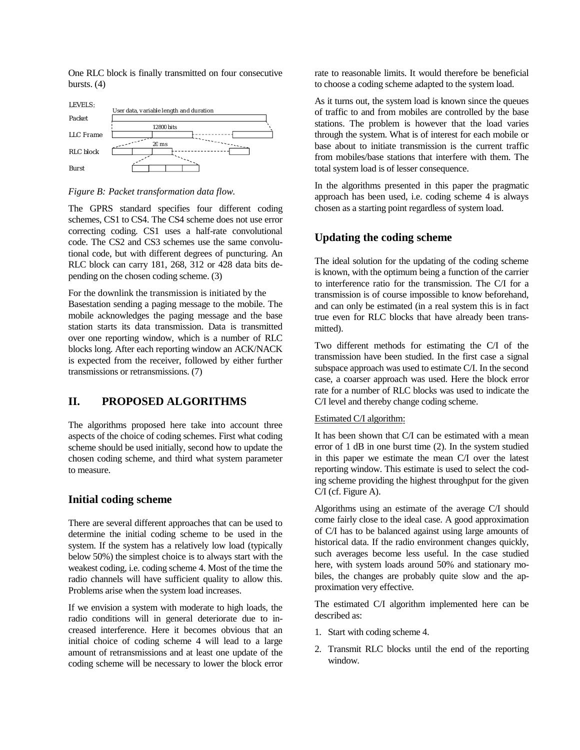One RLC block is finally transmitted on four consecutive bursts. (4)



*Figure B: Packet transformation data flow.*

The GPRS standard specifies four different coding schemes, CS1 to CS4. The CS4 scheme does not use error correcting coding. CS1 uses a half-rate convolutional code. The CS2 and CS3 schemes use the same convolutional code, but with different degrees of puncturing. An RLC block can carry 181, 268, 312 or 428 data bits depending on the chosen coding scheme. (3)

For the downlink the transmission is initiated by the Basestation sending a paging message to the mobile. The mobile acknowledges the paging message and the base station starts its data transmission. Data is transmitted over one reporting window, which is a number of RLC blocks long. After each reporting window an ACK/NACK is expected from the receiver, followed by either further transmissions or retransmissions. (7)

# **II. PROPOSED ALGORITHMS**

The algorithms proposed here take into account three aspects of the choice of coding schemes. First what coding scheme should be used initially, second how to update the chosen coding scheme, and third what system parameter to measure.

### **Initial coding scheme**

There are several different approaches that can be used to determine the initial coding scheme to be used in the system. If the system has a relatively low load (typically below 50%) the simplest choice is to always start with the weakest coding, i.e. coding scheme 4. Most of the time the radio channels will have sufficient quality to allow this. Problems arise when the system load increases.

If we envision a system with moderate to high loads, the radio conditions will in general deteriorate due to increased interference. Here it becomes obvious that an initial choice of coding scheme 4 will lead to a large amount of retransmissions and at least one update of the coding scheme will be necessary to lower the block error rate to reasonable limits. It would therefore be beneficial to choose a coding scheme adapted to the system load.

As it turns out, the system load is known since the queues of traffic to and from mobiles are controlled by the base stations. The problem is however that the load varies through the system. What is of interest for each mobile or base about to initiate transmission is the current traffic from mobiles/base stations that interfere with them. The total system load is of lesser consequence.

In the algorithms presented in this paper the pragmatic approach has been used, i.e. coding scheme 4 is always chosen as a starting point regardless of system load.

# **Updating the coding scheme**

The ideal solution for the updating of the coding scheme is known, with the optimum being a function of the carrier to interference ratio for the transmission. The C/I for a transmission is of course impossible to know beforehand, and can only be estimated (in a real system this is in fact true even for RLC blocks that have already been transmitted).

Two different methods for estimating the C/I of the transmission have been studied. In the first case a signal subspace approach was used to estimate C/I. In the second case, a coarser approach was used. Here the block error rate for a number of RLC blocks was used to indicate the C/I level and thereby change coding scheme.

#### Estimated C/I algorithm:

It has been shown that C/I can be estimated with a mean error of 1 dB in one burst time (2). In the system studied in this paper we estimate the mean C/I over the latest reporting window. This estimate is used to select the coding scheme providing the highest throughput for the given C/I (cf. Figure A).

Algorithms using an estimate of the average C/I should come fairly close to the ideal case. A good approximation of C/I has to be balanced against using large amounts of historical data. If the radio environment changes quickly, such averages become less useful. In the case studied here, with system loads around 50% and stationary mobiles, the changes are probably quite slow and the approximation very effective.

The estimated C/I algorithm implemented here can be described as:

- 1. Start with coding scheme 4.
- 2. Transmit RLC blocks until the end of the reporting window.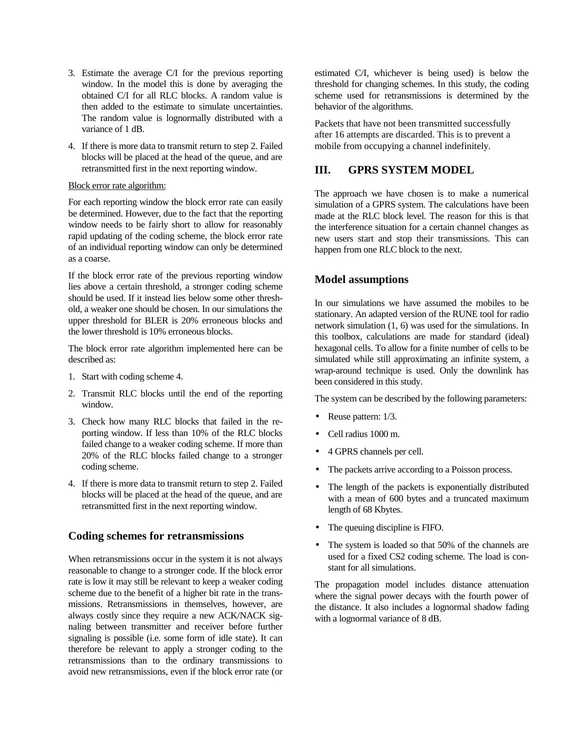- 3. Estimate the average C/I for the previous reporting window. In the model this is done by averaging the obtained C/I for all RLC blocks. A random value is then added to the estimate to simulate uncertainties. The random value is lognormally distributed with a variance of 1 dB.
- 4. If there is more data to transmit return to step 2. Failed blocks will be placed at the head of the queue, and are retransmitted first in the next reporting window.

#### Block error rate algorithm:

For each reporting window the block error rate can easily be determined. However, due to the fact that the reporting window needs to be fairly short to allow for reasonably rapid updating of the coding scheme, the block error rate of an individual reporting window can only be determined as a coarse.

If the block error rate of the previous reporting window lies above a certain threshold, a stronger coding scheme should be used. If it instead lies below some other threshold, a weaker one should be chosen. In our simulations the upper threshold for BLER is 20% erroneous blocks and the lower threshold is 10% erroneous blocks.

The block error rate algorithm implemented here can be described as:

- 1. Start with coding scheme 4.
- 2. Transmit RLC blocks until the end of the reporting window.
- 3. Check how many RLC blocks that failed in the reporting window. If less than 10% of the RLC blocks failed change to a weaker coding scheme. If more than 20% of the RLC blocks failed change to a stronger coding scheme.
- 4. If there is more data to transmit return to step 2. Failed blocks will be placed at the head of the queue, and are retransmitted first in the next reporting window.

# **Coding schemes for retransmissions**

When retransmissions occur in the system it is not always reasonable to change to a stronger code. If the block error rate is low it may still be relevant to keep a weaker coding scheme due to the benefit of a higher bit rate in the transmissions. Retransmissions in themselves, however, are always costly since they require a new ACK/NACK signaling between transmitter and receiver before further signaling is possible (i.e. some form of idle state). It can therefore be relevant to apply a stronger coding to the retransmissions than to the ordinary transmissions to avoid new retransmissions, even if the block error rate (or estimated C/I, whichever is being used) is below the threshold for changing schemes. In this study, the coding scheme used for retransmissions is determined by the behavior of the algorithms.

Packets that have not been transmitted successfully after 16 attempts are discarded. This is to prevent a mobile from occupying a channel indefinitely.

# **III. GPRS SYSTEM MODEL**

The approach we have chosen is to make a numerical simulation of a GPRS system. The calculations have been made at the RLC block level. The reason for this is that the interference situation for a certain channel changes as new users start and stop their transmissions. This can happen from one RLC block to the next.

# **Model assumptions**

In our simulations we have assumed the mobiles to be stationary. An adapted version of the RUNE tool for radio network simulation (1, 6) was used for the simulations. In this toolbox, calculations are made for standard (ideal) hexagonal cells. To allow for a finite number of cells to be simulated while still approximating an infinite system, a wrap-around technique is used. Only the downlink has been considered in this study.

The system can be described by the following parameters:

- Reuse pattern:  $1/3$ .
- Cell radius 1000 m.
- 4 GPRS channels per cell.
- The packets arrive according to a Poisson process.
- The length of the packets is exponentially distributed with a mean of 600 bytes and a truncated maximum length of 68 Kbytes.
- The queuing discipline is FIFO.
- The system is loaded so that 50% of the channels are used for a fixed CS2 coding scheme. The load is constant for all simulations.

The propagation model includes distance attenuation where the signal power decays with the fourth power of the distance. It also includes a lognormal shadow fading with a lognormal variance of 8 dB.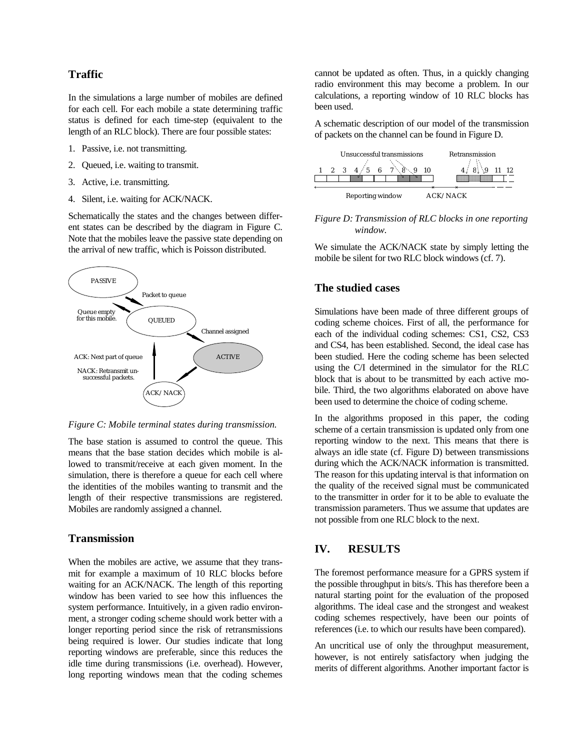#### **Traffic**

In the simulations a large number of mobiles are defined for each cell. For each mobile a state determining traffic status is defined for each time-step (equivalent to the length of an RLC block). There are four possible states:

- 1. Passive, i.e. not transmitting.
- 2. Queued, i.e. waiting to transmit.
- 3. Active, i.e. transmitting.
- 4. Silent, i.e. waiting for ACK/NACK.

Schematically the states and the changes between different states can be described by the diagram in Figure C. Note that the mobiles leave the passive state depending on the arrival of new traffic, which is Poisson distributed.



*Figure C: Mobile terminal states during transmission.*

The base station is assumed to control the queue. This means that the base station decides which mobile is allowed to transmit/receive at each given moment. In the simulation, there is therefore a queue for each cell where the identities of the mobiles wanting to transmit and the length of their respective transmissions are registered. Mobiles are randomly assigned a channel.

### **Transmission**

When the mobiles are active, we assume that they transmit for example a maximum of 10 RLC blocks before waiting for an ACK/NACK. The length of this reporting window has been varied to see how this influences the system performance. Intuitively, in a given radio environment, a stronger coding scheme should work better with a longer reporting period since the risk of retransmissions being required is lower. Our studies indicate that long reporting windows are preferable, since this reduces the idle time during transmissions (i.e. overhead). However, long reporting windows mean that the coding schemes

cannot be updated as often. Thus, in a quickly changing radio environment this may become a problem. In our calculations, a reporting window of 10 RLC blocks has been used.

A schematic description of our model of the transmission of packets on the channel can be found in Figure D.



*Figure D: Transmission of RLC blocks in one reporting window.*

We simulate the ACK/NACK state by simply letting the mobile be silent for two RLC block windows (cf. 7).

# **The studied cases**

Simulations have been made of three different groups of coding scheme choices. First of all, the performance for each of the individual coding schemes: CS1, CS2, CS3 and CS4, has been established. Second, the ideal case has been studied. Here the coding scheme has been selected using the C/I determined in the simulator for the RLC block that is about to be transmitted by each active mobile. Third, the two algorithms elaborated on above have been used to determine the choice of coding scheme.

In the algorithms proposed in this paper, the coding scheme of a certain transmission is updated only from one reporting window to the next. This means that there is always an idle state (cf. Figure D) between transmissions during which the ACK/NACK information is transmitted. The reason for this updating interval is that information on the quality of the received signal must be communicated to the transmitter in order for it to be able to evaluate the transmission parameters. Thus we assume that updates are not possible from one RLC block to the next.

### **IV. RESULTS**

The foremost performance measure for a GPRS system if the possible throughput in bits/s. This has therefore been a natural starting point for the evaluation of the proposed algorithms. The ideal case and the strongest and weakest coding schemes respectively, have been our points of references (i.e. to which our results have been compared).

An uncritical use of only the throughput measurement, however, is not entirely satisfactory when judging the merits of different algorithms. Another important factor is